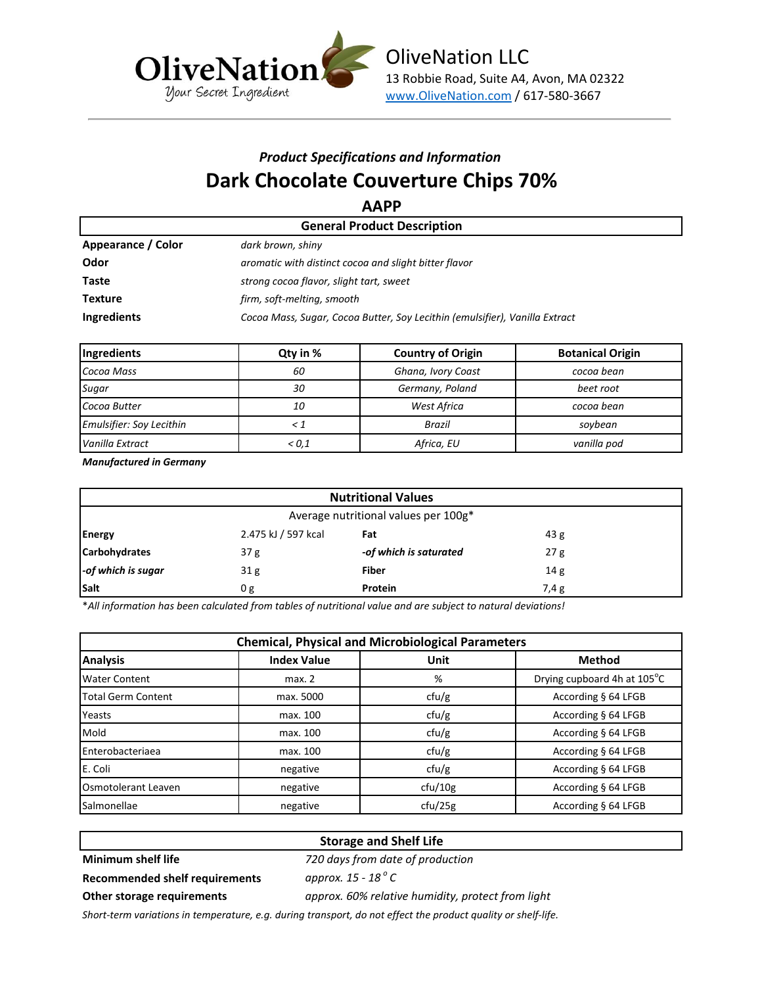

# *Product Specifications and Information* **Dark Chocolate Couverture Chips 70%**

**AAPP**

|                    | <b>General Product Description</b>                                          |  |  |  |  |
|--------------------|-----------------------------------------------------------------------------|--|--|--|--|
| Appearance / Color | dark brown, shiny                                                           |  |  |  |  |
| Odor               | aromatic with distinct cocoa and slight bitter flavor                       |  |  |  |  |
| Taste              | strong cocoa flavor, slight tart, sweet                                     |  |  |  |  |
| <b>Texture</b>     | firm, soft-melting, smooth                                                  |  |  |  |  |
| Ingredients        | Cocoa Mass, Sugar, Cocoa Butter, Soy Lecithin (emulsifier), Vanilla Extract |  |  |  |  |

| Ingredients                     | Qty in % | <b>Country of Origin</b> | <b>Botanical Origin</b> |  |
|---------------------------------|----------|--------------------------|-------------------------|--|
| Cocoa Mass                      | 60       | Ghana, Ivory Coast       | cocoa bean              |  |
| Sugar                           | 30       | Germany, Poland          | beet root               |  |
| Cocoa Butter                    | 10       | West Africa              | cocoa bean              |  |
| <b>Emulsifier: Soy Lecithin</b> |          | Brazil                   | sovbean                 |  |
| Vanilla Extract                 | < 0.1    | Africa, EU               | vanilla pod             |  |

*Manufactured in Germany*

| <b>Nutritional Values</b>            |                     |                        |      |  |
|--------------------------------------|---------------------|------------------------|------|--|
| Average nutritional values per 100g* |                     |                        |      |  |
| Energy                               | 2.475 kJ / 597 kcal | Fat                    | 43g  |  |
| <b>Carbohydrates</b>                 | 37 <sub>g</sub>     | -of which is saturated | 27g  |  |
| -of which is sugar                   | 31 <sub>g</sub>     | <b>Fiber</b>           | 14 g |  |
| Salt                                 | 0g                  | Protein                | 7,4g |  |

\**All information has been calculated from tables of nutritional value and are subject to natural deviations!*

| <b>Chemical, Physical and Microbiological Parameters</b> |                    |         |                             |  |  |
|----------------------------------------------------------|--------------------|---------|-----------------------------|--|--|
| <b>Analysis</b>                                          | <b>Index Value</b> | Unit    | <b>Method</b>               |  |  |
| <b>I</b> Water Content                                   | max. 2             | %       | Drying cupboard 4h at 105°C |  |  |
| <b>Total Germ Content</b>                                | max. 5000          | ctu/g   | According § 64 LFGB         |  |  |
| Yeasts                                                   | max. 100           | ctu/g   | According § 64 LFGB         |  |  |
| Mold                                                     | max. 100           | ctu/g   | According § 64 LFGB         |  |  |
| <b>Enterobacteriaea</b>                                  | max. 100           | ctu/g   | According § 64 LFGB         |  |  |
| E. Coli                                                  | negative           | ctu/g   | According § 64 LFGB         |  |  |
| <b>Osmotolerant Leaven</b>                               | negative           | cfu/10g | According § 64 LFGB         |  |  |
| <b>Salmonellae</b>                                       | negative           | ctu/25g | According § 64 LFGB         |  |  |

# **Storage and Shelf Life**

**Minimum shelf life** *720 days from date of production* approx. 15 - 18<sup>°</sup> C

**Recommended shelf requirements** *approx. 15 - 18 <sup>o</sup>*

**Other storage requirements** *approx. 60% relative humidity, protect from light*

*Short-term variations in temperature, e.g. during transport, do not effect the product quality or shelf-life.*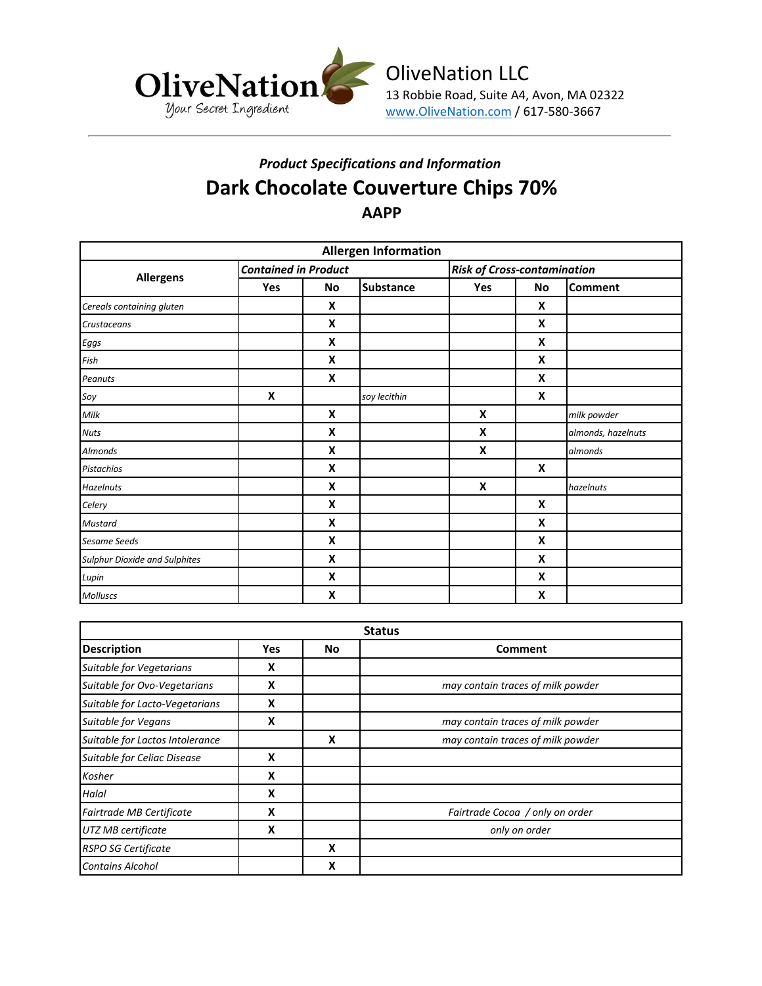

# *Product Specifications and Information* **Dark Chocolate Couverture Chips 70% AAPP**

| <b>Allergen Information</b>          |                             |    |                  |                                    |           |                    |
|--------------------------------------|-----------------------------|----|------------------|------------------------------------|-----------|--------------------|
| <b>Allergens</b>                     | <b>Contained in Product</b> |    |                  | <b>Risk of Cross-contamination</b> |           |                    |
|                                      | Yes                         | No | <b>Substance</b> | Yes                                | <b>No</b> | <b>Comment</b>     |
| Cereals containing gluten            |                             | X  |                  |                                    | X         |                    |
| Crustaceans                          |                             | X  |                  |                                    | X         |                    |
| Eggs                                 |                             | X  |                  |                                    | X         |                    |
| Fish                                 |                             | X  |                  |                                    | X         |                    |
| Peanuts                              |                             | X  |                  |                                    | X         |                    |
| Soy                                  | X                           |    | soy lecithin     |                                    | X         |                    |
| Milk                                 |                             | X  |                  | X                                  |           | milk powder        |
| <b>Nuts</b>                          |                             | X  |                  | X                                  |           | almonds, hazelnuts |
| <b>Almonds</b>                       |                             | X  |                  | X                                  |           | almonds            |
| Pistachios                           |                             | X  |                  |                                    | X         |                    |
| <b>Hazelnuts</b>                     |                             | X  |                  | X                                  |           | hazelnuts          |
| Celery                               |                             | X  |                  |                                    | X         |                    |
| <b>Mustard</b>                       |                             | X  |                  |                                    | X         |                    |
| <b>Sesame Seeds</b>                  |                             | X  |                  |                                    | X         |                    |
| <b>Sulphur Dioxide and Sulphites</b> |                             | X  |                  |                                    | X         |                    |
| Lupin                                |                             | X  |                  |                                    | X         |                    |
| Molluscs                             |                             | X  |                  |                                    | X         |                    |

| <b>Status</b>                   |            |    |                                   |  |  |
|---------------------------------|------------|----|-----------------------------------|--|--|
| <b>Description</b>              | <b>Yes</b> | No | <b>Comment</b>                    |  |  |
| Suitable for Vegetarians        | х          |    |                                   |  |  |
| Suitable for Ovo-Vegetarians    | x          |    | may contain traces of milk powder |  |  |
| Suitable for Lacto-Vegetarians  | X          |    |                                   |  |  |
| Suitable for Vegans             | X          |    | may contain traces of milk powder |  |  |
| Suitable for Lactos Intolerance |            | X  | may contain traces of milk powder |  |  |
| Suitable for Celiac Disease     | X          |    |                                   |  |  |
| Kosher                          | x          |    |                                   |  |  |
| Halal                           | X          |    |                                   |  |  |
| Fairtrade MB Certificate        | x          |    | Fairtrade Cocoa / only on order   |  |  |
| UTZ MB certificate              | X          |    | only on order                     |  |  |
| <b>RSPO SG Certificate</b>      |            | X  |                                   |  |  |
| <b>Contains Alcohol</b>         |            | x  |                                   |  |  |